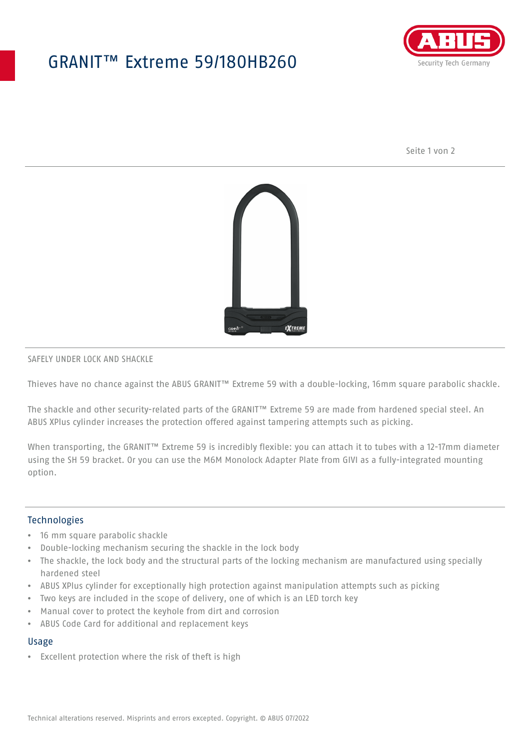# GRANIT™ Extreme 59/180HB260



Seite 1 von 2



#### SAFELY UNDER LOCK AND SHACKLE

Thieves have no chance against the ABUS GRANIT™ Extreme 59 with a double-locking, 16mm square parabolic shackle.

The shackle and other security-related parts of the GRANIT™ Extreme 59 are made from hardened special steel. An ABUS XPlus cylinder increases the protection offered against tampering attempts such as picking.

When transporting, the GRANIT™ Extreme 59 is incredibly flexible: you can attach it to tubes with a 12-17mm diameter using the SH 59 bracket. Or you can use the M6M Monolock Adapter Plate from GIVI as a fully-integrated mounting option.

## Technologies

- 16 mm square parabolic shackle
- Double-locking mechanism securing the shackle in the lock body
- The shackle, the lock body and the structural parts of the locking mechanism are manufactured using specially hardened steel
- ABUS XPlus cylinder for exceptionally high protection against manipulation attempts such as picking
- Two keys are included in the scope of delivery, one of which is an LED torch key
- Manual cover to protect the keyhole from dirt and corrosion
- ABUS Code Card for additional and replacement keys

# Usage

• Excellent protection where the risk of theft is high